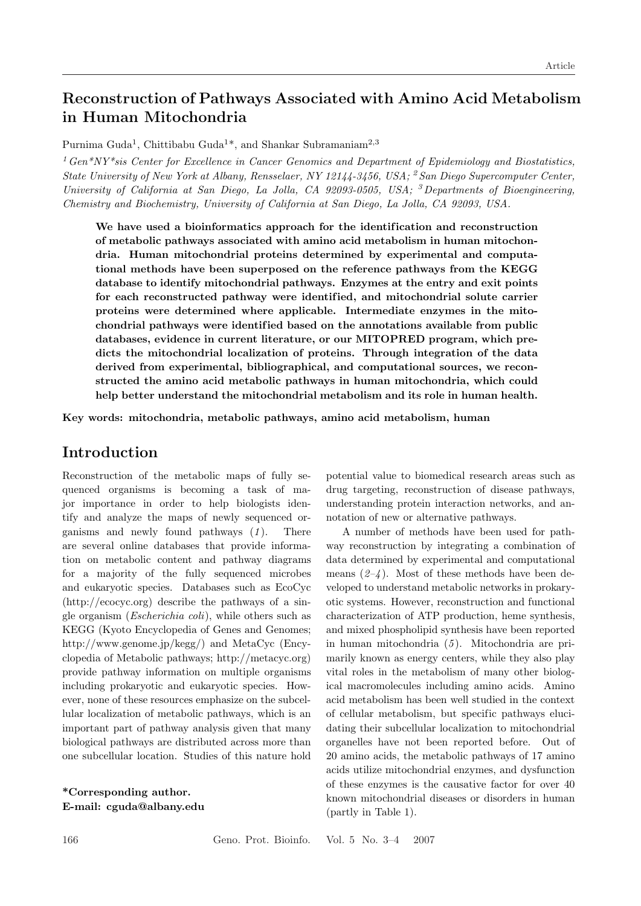# **Reconstruction of Pathways Associated with Amino Acid Metabolism in Human Mitochondria**

Purnima Guda<sup>1</sup>, Chittibabu Guda<sup>1\*</sup>, and Shankar Subramaniam<sup>2,3</sup>

<sup>1</sup>*Gen\*NY\*sis Center for Excellence in Cancer Genomics and Department of Epidemiology and Biostatistics, State University of New York at Albany, Rensselaer, NY 12144-3456, USA;* <sup>2</sup> *San Diego Supercomputer Center, University of California at San Diego, La Jolla, CA 92093-0505, USA;* <sup>3</sup>*Departments of Bioengineering, Chemistry and Biochemistry, University of California at San Diego, La Jolla, CA 92093, USA.*

We have used a bioinformatics approach for the identification and reconstruction **of metabolic pathways associated with amino acid metabolism in human mitochondria. Human mitochondrial proteins determined by experimental and computational methods have been superposed on the reference pathways from the KEGG database to identify mitochondrial pathways. Enzymes at the entry and exit points** for each reconstructed pathway were identified, and mitochondrial solute carrier **proteins were determined where applicable. Intermediate enzymes in the mitochondrial pathways were identif ied based on the annotations available from public databases, evidence in current literature, or our MITOPRED program, which predicts the mitochondrial localization of proteins. Through integration of the data derived from experimental, bibliographical, and computational sources, we reconstructed the amino acid metabolic pathways in human mitochondria, which could help better understand the mitochondrial metabolism and its role in human health.**

**Key words: mitochondria, metabolic pathways, amino acid metabolism, human**

### **Introduction**

Reconstruction of the metabolic maps of fully sequenced organisms is becoming a task of major importance in order to help biologists identify and analyze the maps of newly sequenced organisms and newly found pathways (1). There are several online databases that provide information on metabolic content and pathway diagrams for a majority of the fully sequenced microbes and eukaryotic species. Databases such as EcoCyc (http://ecocyc.org) describe the pathways of a single organism (*Escherichia coli*), while others such as KEGG (Kyoto Encyclopedia of Genes and Genomes; http://www.genome.jp/kegg/) and MetaCyc (Encyclopedia of Metabolic pathways; http://metacyc.org) provide pathway information on multiple organisms including prokaryotic and eukaryotic species. However, none of these resources emphasize on the subcellular localization of metabolic pathways, which is an important part of pathway analysis given that many biological pathways are distributed across more than one subcellular location. Studies of this nature hold

**\*Corresponding author. E-mail: cguda@albany.edu**

potential value to biomedical research areas such as drug targeting, reconstruction of disease pathways, understanding protein interaction networks, and annotation of new or alternative pathways.

A number of methods have been used for pathway reconstruction by integrating a combination of data determined by experimental and computational means  $(2-4)$ . Most of these methods have been developed to understand metabolic networks in prokaryotic systems. However, reconstruction and functional characterization of ATP production, heme synthesis, and mixed phospholipid synthesis have been reported in human mitochondria (*5* ). Mitochondria are primarily known as energy centers, while they also play vital roles in the metabolism of many other biological macromolecules including amino acids. Amino acid metabolism has been well studied in the context of cellular metabolism, but specific pathways elucidating their subcellular localization to mitochondrial organelles have not been reported before. Out of 20 amino acids, the metabolic pathways of 17 amino acids utilize mitochondrial enzymes, and dysfunction of these enzymes is the causative factor for over 40 known mitochondrial diseases or disorders in human (partly in Table 1).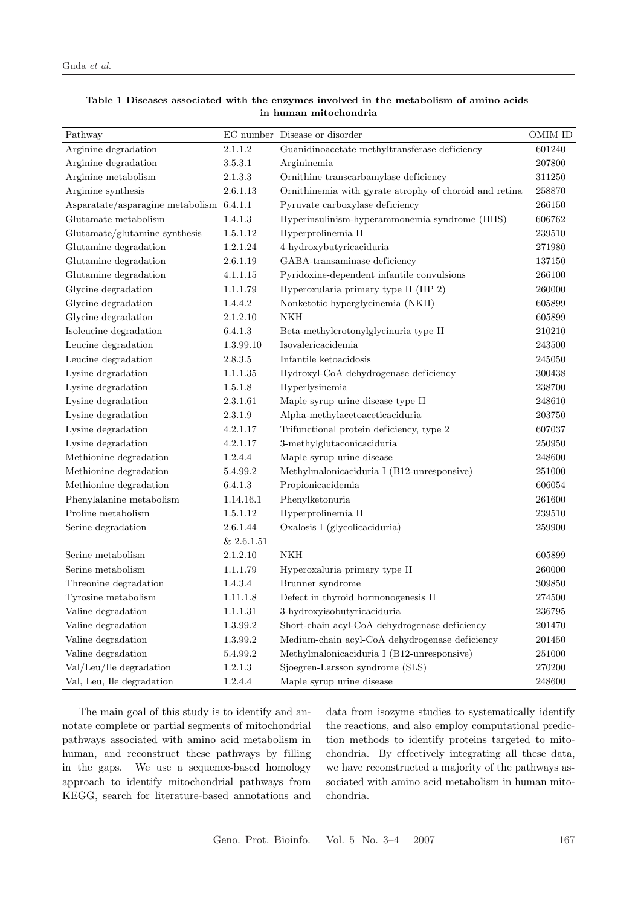| Pathway                                  |            | EC number Disease or disorder                          | OMIM ID    |
|------------------------------------------|------------|--------------------------------------------------------|------------|
| Arginine degradation                     | 2.1.1.2    | Guanidinoacetate methyltransferase deficiency          | 601240     |
| Arginine degradation                     | 3.5.3.1    | Argininemia                                            | 207800     |
| Arginine metabolism                      | 2.1.3.3    | Ornithine transcarbamylase deficiency                  | 311250     |
| Arginine synthesis                       | 2.6.1.13   | Ornithinemia with gyrate atrophy of choroid and retina | 258870     |
| Asparatate/asparagine metabolism 6.4.1.1 |            | Pyruvate carboxylase deficiency                        | 266150     |
| Glutamate metabolism                     | 1.4.1.3    | Hyperinsulinism-hyperammonemia syndrome (HHS)          | 606762     |
| Glutamate/glutamine synthesis            | 1.5.1.12   | Hyperprolinemia II                                     | 239510     |
| Glutamine degradation                    | 1.2.1.24   | 4-hydroxybutyricaciduria                               | 271980     |
| Glutamine degradation                    | 2.6.1.19   | GABA-transaminase deficiency                           | 137150     |
| Glutamine degradation                    | 4.1.1.15   | Pyridoxine-dependent infantile convulsions             | 266100     |
| Glycine degradation                      | 1.1.1.79   | Hyperoxularia primary type II (HP 2)                   | 260000     |
| Glycine degradation                      | 1.4.4.2    | Nonketotic hyperglycinemia (NKH)                       | 605899     |
| Glycine degradation                      | 2.1.2.10   | <b>NKH</b>                                             | 605899     |
| Isoleucine degradation                   | 6.4.1.3    | Beta-methylcrotonylglycinuria type II                  | 210210     |
| Leucine degradation                      | 1.3.99.10  | Isovalericacidemia                                     | 243500     |
| Leucine degradation                      | 2.8.3.5    | Infantile ketoacidosis                                 | 245050     |
| Lysine degradation                       | 1.1.1.35   | Hydroxyl-CoA dehydrogenase deficiency                  | 300438     |
| Lysine degradation                       | 1.5.1.8    | Hyperlysinemia                                         | 238700     |
| Lysine degradation                       | 2.3.1.61   | Maple syrup urine disease type II                      | 248610     |
| Lysine degradation                       | 2.3.1.9    | Alpha-methylacetoaceticaciduria                        | 203750     |
| Lysine degradation                       | 4.2.1.17   | Trifunctional protein deficiency, type 2               | 607037     |
| Lysine degradation                       | 4.2.1.17   | 3-methylglutaconicaciduria                             | 250950     |
| Methionine degradation                   | 1.2.4.4    | Maple syrup urine disease                              | 248600     |
| Methionine degradation                   | 5.4.99.2   | Methylmalonicaciduria I (B12-unresponsive)             | $251000\,$ |
| Methionine degradation                   | 6.4.1.3    | Propionicacidemia                                      | 606054     |
| Phenylalanine metabolism                 | 1.14.16.1  | Phenylketonuria                                        | 261600     |
| Proline metabolism                       | 1.5.1.12   | Hyperprolinemia II                                     | 239510     |
| Serine degradation                       | 2.6.1.44   | Oxalosis I (glycolicaciduria)                          | 259900     |
|                                          | & 2.6.1.51 |                                                        |            |
| Serine metabolism                        | 2.1.2.10   | <b>NKH</b>                                             | 605899     |
| Serine metabolism                        | 1.1.1.79   | Hyperoxaluria primary type II                          | 260000     |
| Threonine degradation                    | 1.4.3.4    | Brunner syndrome                                       | 309850     |
| Tyrosine metabolism                      | 1.11.1.8   | Defect in thyroid hormonogenesis II                    | 274500     |
| Valine degradation                       | 1.1.1.31   | 3-hydroxyisobutyricaciduria                            | 236795     |
| Valine degradation                       | 1.3.99.2   | Short-chain acyl-CoA dehydrogenase deficiency          | 201470     |
| Valine degradation                       | 1.3.99.2   | Medium-chain acyl-CoA dehydrogenase deficiency         | 201450     |
| Valine degradation                       | 5.4.99.2   | Methylmalonicaciduria I (B12-unresponsive)             | 251000     |
| Val/Leu/Ile degradation                  | 1.2.1.3    | Sjoegren-Larsson syndrome (SLS)                        | 270200     |
| Val, Leu, Ile degradation                | 1.2.4.4    | Maple syrup urine disease                              | 248600     |

|                       |  |  | Table 1 Diseases associated with the enzymes involved in the metabolism of amino acids |  |  |  |  |  |  |  |  |  |  |  |  |
|-----------------------|--|--|----------------------------------------------------------------------------------------|--|--|--|--|--|--|--|--|--|--|--|--|
| in human mitochondria |  |  |                                                                                        |  |  |  |  |  |  |  |  |  |  |  |  |

The main goal of this study is to identify and annotate complete or partial segments of mitochondrial pathways associated with amino acid metabolism in human, and reconstruct these pathways by filling in the gaps. We use a sequence-based homology approach to identify mitochondrial pathways from KEGG, search for literature-based annotations and

data from isozyme studies to systematically identify the reactions, and also employ computational prediction methods to identify proteins targeted to mitochondria. By ef fectively integrating all these data, we have reconstructed a majority of the pathways associated with amino acid metabolism in human mitochondria.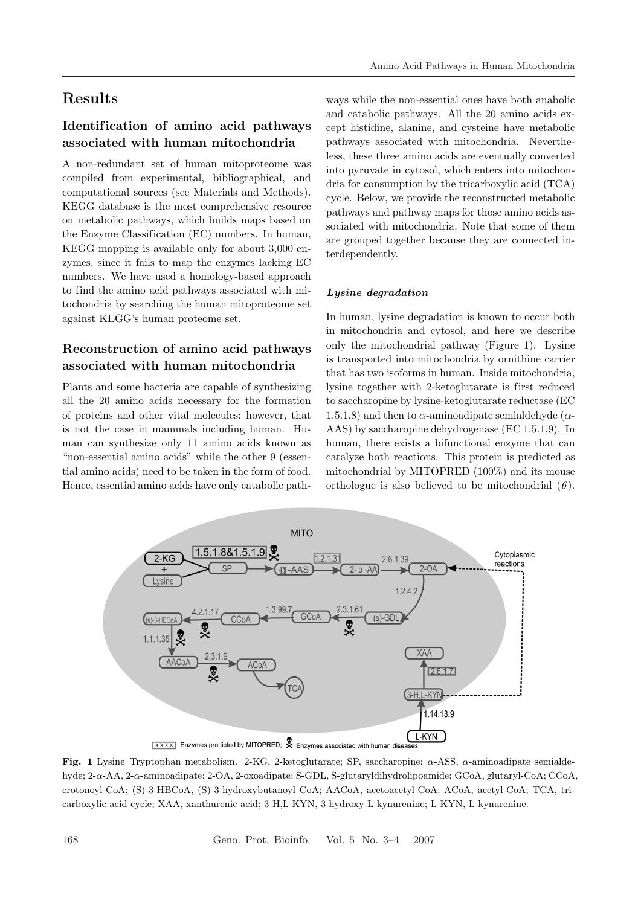# **Results**

### **Identif ication of amino acid pathways associated with human mitochondria**

A non-redundant set of human mitoproteome was compiled from experimental, bibliographical, and computational sources (see Materials and Methods). KEGG database is the most comprehensive resource on metabolic pathways, which builds maps based on the Enzyme Classification (EC) numbers. In human, KEGG mapping is available only for about 3,000 enzymes, since it fails to map the enzymes lacking EC numbers. We have used a homology-based approach to find the amino acid pathways associated with mitochondria by searching the human mitoproteome set against KEGG's human proteome set.

### **Reconstruction of amino acid pathways associated with human mitochondria**

Plants and some bacteria are capable of synthesizing all the 20 amino acids necessary for the formation of proteins and other vital molecules; however, that is not the case in mammals including human. Human can synthesize only 11 amino acids known as "non-essential amino acids" while the other 9 (essential amino acids) need to be taken in the form of food. Hence, essential amino acids have only catabolic path-

ways while the non-essential ones have both anabolic and catabolic pathways. All the 20 amino acids except histidine, alanine, and cysteine have metabolic pathways associated with mitochondria. Nevertheless, these three amino acids are eventually converted into pyruvate in cytosol, which enters into mitochondria for consumption by the tricarboxylic acid (TCA) cycle. Below, we provide the reconstructed metabolic pathways and pathway maps for those amino acids associated with mitochondria. Note that some of them are grouped together because they are connected interdependently.

#### *Lysine degradation*

In human, lysine degradation is known to occur both in mitochondria and cytosol, and here we describe only the mitochondrial pathway (Figure 1). Lysine is transported into mitochondria by ornithine carrier that has two isoforms in human. Inside mitochondria, lysine together with 2-ketoglutarate is first reduced to saccharopine by lysine-ketoglutarate reductase (EC 1.5.1.8) and then to  $\alpha$ -aminoadipate semialdehyde ( $\alpha$ -AAS) by saccharopine dehydrogenase (EC 1.5.1.9). In human, there exists a bifunctional enzyme that can catalyze both reactions. This protein is predicted as mitochondrial by MITOPRED (100%) and its mouse orthologue is also believed to be mitochondrial (*6* ).



**Fig. 1** Lysine–Tryptophan metabolism. 2-KG, 2-ketoglutarate; SP, saccharopine; α-ASS, α-aminoadipate semialdehyde; 2-α-AA, 2-α-aminoadipate; 2-OA, 2-oxoadipate; S-GDL, S-glutaryldihydrolipoamide; GCoA, glutaryl-CoA; CCoA, crotonoyl-CoA; (S)-3-HBCoA, (S)-3-hydroxybutanoyl CoA; AACoA, acetoacetyl-CoA; ACoA, acetyl-CoA; TCA, tricarboxylic acid cycle; XAA, xanthurenic acid; 3-H,L-KYN, 3-hydroxy L-kynurenine; L-KYN, L-kynurenine.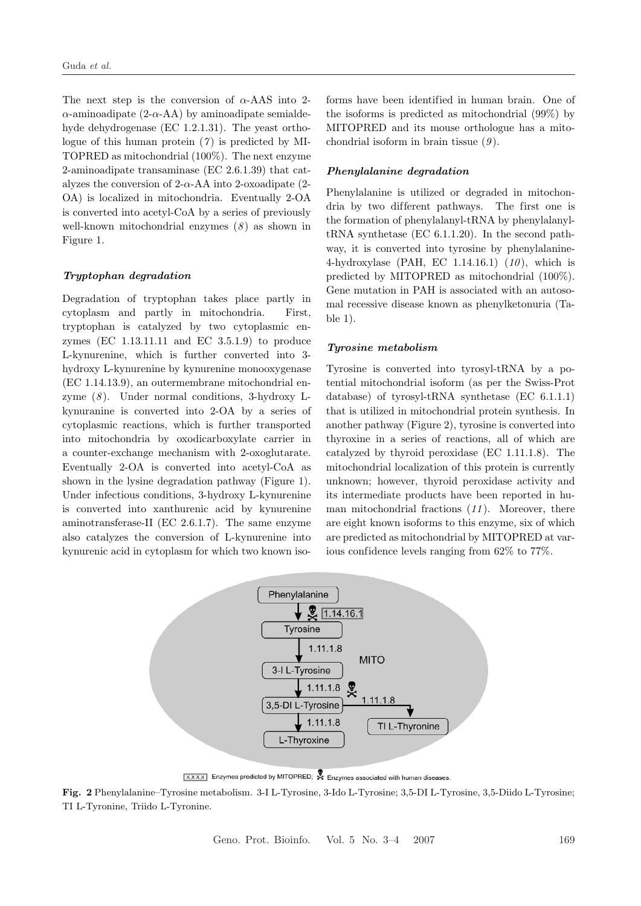The next step is the conversion of  $\alpha$ -AAS into 2- $\alpha$ -aminoadipate (2- $\alpha$ -AA) by aminoadipate semialdehyde dehydrogenase (EC 1.2.1.31). The yeast orthologue of this human protein (*7* ) is predicted by MI-TOPRED as mitochondrial (100%). The next enzyme 2-aminoadipate transaminase (EC 2.6.1.39) that catalyzes the conversion of 2- $\alpha$ -AA into 2-oxoadipate (2-OA) is localized in mitochondria. Eventually 2-OA is converted into acetyl-CoA by a series of previously well-known mitochondrial enzymes (*8* ) as shown in Figure 1.

#### *Tryptophan degradation*

Degradation of tryptophan takes place partly in cytoplasm and partly in mitochondria. First, tryptophan is catalyzed by two cytoplasmic enzymes (EC 1.13.11.11 and EC 3.5.1.9) to produce L-kynurenine, which is further converted into 3 hydroxy L-kynurenine by kynurenine monooxygenase (EC 1.14.13.9), an outermembrane mitochondrial enzyme (*8* ). Under normal conditions, 3-hydroxy Lkynuranine is converted into 2-OA by a series of cytoplasmic reactions, which is further transported into mitochondria by oxodicarboxylate carrier in a counter-exchange mechanism with 2-oxoglutarate. Eventually 2-OA is converted into acetyl-CoA as shown in the lysine degradation pathway (Figure 1). Under infectious conditions, 3-hydroxy L-kynurenine is converted into xanthurenic acid by kynurenine aminotransferase-II (EC 2.6.1.7). The same enzyme also catalyzes the conversion of L-kynurenine into kynurenic acid in cytoplasm for which two known iso-

forms have been identified in human brain. One of the isoforms is predicted as mitochondrial (99%) by MITOPRED and its mouse orthologue has a mitochondrial isoform in brain tissue (*9* ).

#### *Phenylalanine degradation*

Phenylalanine is utilized or degraded in mitochondria by two different pathways. The first one is the formation of phenylalanyl-tRNA by phenylalanyltRNA synthetase (EC 6.1.1.20). In the second pathway, it is converted into tyrosine by phenylalanine-4-hydroxylase (PAH, EC 1.14.16.1) (*10* ), which is predicted by MITOPRED as mitochondrial (100%). Gene mutation in PAH is associated with an autosomal recessive disease known as phenylketonuria (Table 1).

#### *Tyrosine metabolism*

Tyrosine is converted into tyrosyl-tRNA by a potential mitochondrial isoform (as per the Swiss-Prot database) of tyrosyl-tRNA synthetase (EC 6.1.1.1) that is utilized in mitochondrial protein synthesis. In another pathway (Figure 2), tyrosine is converted into thyroxine in a series of reactions, all of which are catalyzed by thyroid peroxidase (EC 1.11.1.8). The mitochondrial localization of this protein is currently unknown; however, thyroid peroxidase activity and its intermediate products have been reported in human mitochondrial fractions (*11* ). Moreover, there are eight known isoforms to this enzyme, six of which are predicted as mitochondrial by MITOPRED at various confidence levels ranging from 62% to 77%.



**XXXX** Enzymes predicted by MITOPRED; X Enzymes associated with human diseases.

**Fig. 2** Phenylalanine–Tyrosine metabolism. 3-I L-Tyrosine, 3-Ido L-Tyrosine; 3,5-DI L-Tyrosine, 3,5-Diido L-Tyrosine; TI L-Tyronine, Triido L-Tyronine.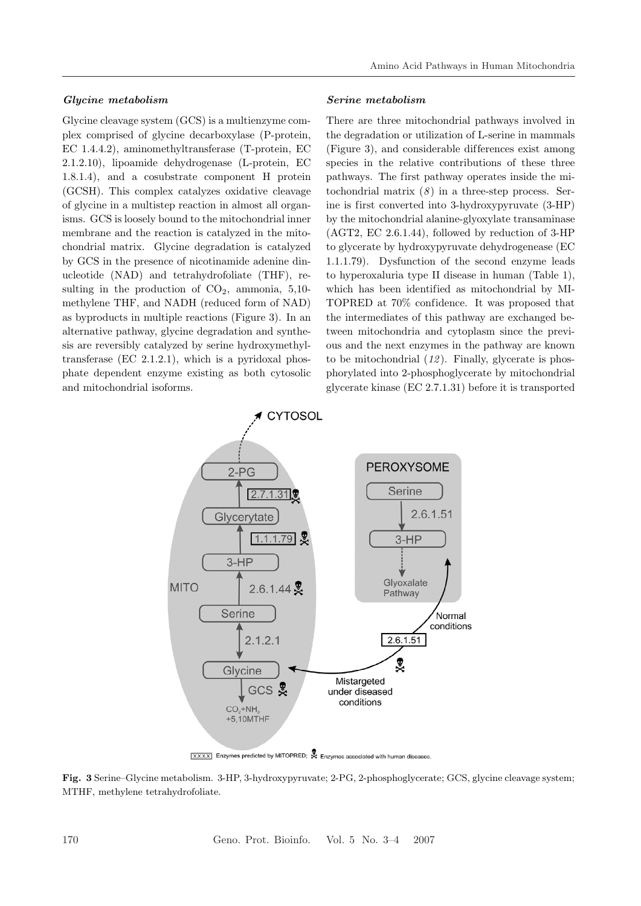#### *Glycine metabolism*

Glycine cleavage system (GCS) is a multienzyme complex comprised of glycine decarboxylase (P-protein, EC 1.4.4.2), aminomethyltransferase (T-protein, EC 2.1.2.10), lipoamide dehydrogenase (L-protein, EC 1.8.1.4), and a cosubstrate component H protein (GCSH). This complex catalyzes oxidative cleavage of glycine in a multistep reaction in almost all organisms. GCS is loosely bound to the mitochondrial inner membrane and the reaction is catalyzed in the mitochondrial matrix. Glycine degradation is catalyzed by GCS in the presence of nicotinamide adenine dinucleotide (NAD) and tetrahydrofoliate (THF), resulting in the production of  $CO<sub>2</sub>$ , ammonia, 5,10methylene THF, and NADH (reduced form of NAD) as byproducts in multiple reactions (Figure 3). In an alternative pathway, glycine degradation and synthesis are reversibly catalyzed by serine hydroxymethyltransferase (EC 2.1.2.1), which is a pyridoxal phosphate dependent enzyme existing as both cytosolic and mitochondrial isoforms.

#### *Serine metabolism*

There are three mitochondrial pathways involved in the degradation or utilization of L-serine in mammals (Figure 3), and considerable differences exist among species in the relative contributions of these three pathways. The first pathway operates inside the mitochondrial matrix  $(8)$  in a three-step process. Serine is first converted into 3-hydroxypyruvate (3-HP) by the mitochondrial alanine-glyoxylate transaminase (AGT2, EC 2.6.1.44), followed by reduction of 3-HP to glycerate by hydroxypyruvate dehydrogenease (EC 1.1.1.79). Dysfunction of the second enzyme leads to hyperoxaluria type II disease in human (Table 1), which has been identified as mitochondrial by MI-TOPRED at 70% confidence. It was proposed that the intermediates of this pathway are exchanged between mitochondria and cytoplasm since the previous and the next enzymes in the pathway are known to be mitochondrial (*12* ). Finally, glycerate is phosphorylated into 2-phosphoglycerate by mitochondrial glycerate kinase (EC 2.7.1.31) before it is transported



 $\overline{\text{[x.x.x]}}$  Enzymes predicted by MITOPRED;  $\overset{\bigcirc}{\blacktriangleright}$  Enzymes associated with human diseases.

**Fig. 3** Serine–Glycine metabolism. 3-HP, 3-hydroxypyruvate; 2-PG, 2-phosphoglycerate; GCS, glycine cleavage system; MTHF, methylene tetrahydrofoliate.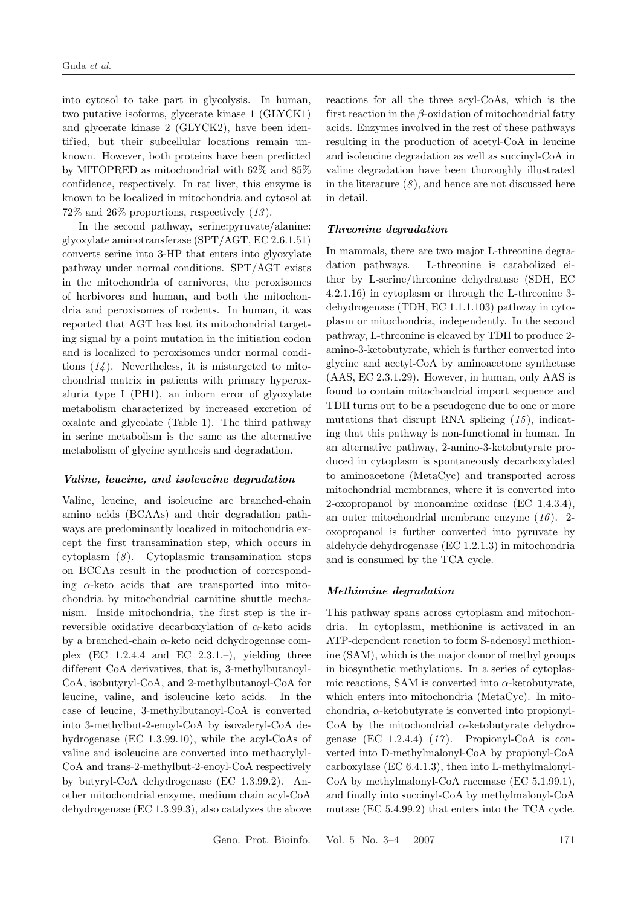into cytosol to take part in glycolysis. In human, two putative isoforms, glycerate kinase 1 (GLYCK1) and glycerate kinase 2 (GLYCK2), have been identified, but their subcellular locations remain unknown. However, both proteins have been predicted by MITOPRED as mitochondrial with 62% and 85% confidence, respectively. In rat liver, this enzyme is known to be localized in mitochondria and cytosol at 72% and 26% proportions, respectively (*13* ).

In the second pathway, serine:pyruvate/alanine: glyoxylate aminotransferase (SPT/AGT, EC 2.6.1.51) converts serine into 3-HP that enters into glyoxylate pathway under normal conditions. SPT/AGT exists in the mitochondria of carnivores, the peroxisomes of herbivores and human, and both the mitochondria and peroxisomes of rodents. In human, it was reported that AGT has lost its mitochondrial targeting signal by a point mutation in the initiation codon and is localized to peroxisomes under normal conditions (*14* ). Nevertheless, it is mistargeted to mitochondrial matrix in patients with primary hyperoxaluria type I (PH1), an inborn error of glyoxylate metabolism characterized by increased excretion of oxalate and glycolate (Table 1). The third pathway in serine metabolism is the same as the alternative metabolism of glycine synthesis and degradation.

#### *Valine, leucine, and isoleucine degradation*

Valine, leucine, and isoleucine are branched-chain amino acids (BCAAs) and their degradation pathways are predominantly localized in mitochondria except the first transamination step, which occurs in cytoplasm (*8* ). Cytoplasmic transamination steps on BCCAs result in the production of corresponding  $\alpha$ -keto acids that are transported into mitochondria by mitochondrial carnitine shuttle mechanism. Inside mitochondria, the first step is the irreversible oxidative decarboxylation of  $\alpha$ -keto acids by a branched-chain  $\alpha$ -keto acid dehydrogenase complex  $(EC\ 1.2.4.4\$ and  $EC\ 2.3.1.-)$ , yielding three different CoA derivatives, that is, 3-methylbutanoyl-CoA, isobutyryl-CoA, and 2-methylbutanoyl-CoA for leucine, valine, and isoleucine keto acids. In the case of leucine, 3-methylbutanoyl-CoA is converted into 3-methylbut-2-enoyl-CoA by isovaleryl-CoA dehydrogenase (EC 1.3.99.10), while the acyl-CoAs of valine and isoleucine are converted into methacrylyl-CoA and trans-2-methylbut-2-enoyl-CoA respectively by butyryl-CoA dehydrogenase (EC 1.3.99.2). Another mitochondrial enzyme, medium chain acyl-CoA dehydrogenase (EC 1.3.99.3), also catalyzes the above

reactions for all the three acyl-CoAs, which is the first reaction in the  $\beta$ -oxidation of mitochondrial fatty acids. Enzymes involved in the rest of these pathways resulting in the production of acetyl-CoA in leucine and isoleucine degradation as well as succinyl-CoA in valine degradation have been thoroughly illustrated in the literature  $(8)$ , and hence are not discussed here in detail.

#### *Threonine degradation*

In mammals, there are two major L-threonine degradation pathways. L-threonine is catabolized either by L-serine/threonine dehydratase (SDH, EC 4.2.1.16) in cytoplasm or through the L-threonine 3 dehydrogenase (TDH, EC 1.1.1.103) pathway in cytoplasm or mitochondria, independently. In the second pathway, L-threonine is cleaved by TDH to produce 2 amino-3-ketobutyrate, which is further converted into glycine and acetyl-CoA by aminoacetone synthetase (AAS, EC 2.3.1.29). However, in human, only AAS is found to contain mitochondrial import sequence and TDH turns out to be a pseudogene due to one or more mutations that disrupt RNA splicing (*15* ), indicating that this pathway is non-functional in human. In an alternative pathway, 2-amino-3-ketobutyrate produced in cytoplasm is spontaneously decarboxylated to aminoacetone (MetaCyc) and transported across mitochondrial membranes, where it is converted into 2-oxopropanol by monoamine oxidase (EC 1.4.3.4), an outer mitochondrial membrane enzyme (*16* ). 2 oxopropanol is further converted into pyruvate by aldehyde dehydrogenase (EC 1.2.1.3) in mitochondria and is consumed by the TCA cycle.

#### *Methionine degradation*

This pathway spans across cytoplasm and mitochondria. In cytoplasm, methionine is activated in an ATP-dependent reaction to form S-adenosyl methionine (SAM), which is the major donor of methyl groups in biosynthetic methylations. In a series of cytoplasmic reactions, SAM is converted into  $\alpha$ -ketobutyrate, which enters into mitochondria (MetaCyc). In mitochondria,  $\alpha$ -ketobutyrate is converted into propionyl-CoA by the mitochondrial  $\alpha$ -ketobutyrate dehydrogenase (EC 1.2.4.4) (*17* ). Propionyl-CoA is converted into D-methylmalonyl-CoA by propionyl-CoA carboxylase (EC 6.4.1.3), then into L-methylmalonyl-CoA by methylmalonyl-CoA racemase (EC 5.1.99.1), and finally into succinyl-CoA by methylmalonyl-CoA mutase (EC 5.4.99.2) that enters into the TCA cycle.

Geno. Prot. Bioinfo. Vol. 5 No. 3–4 2007 171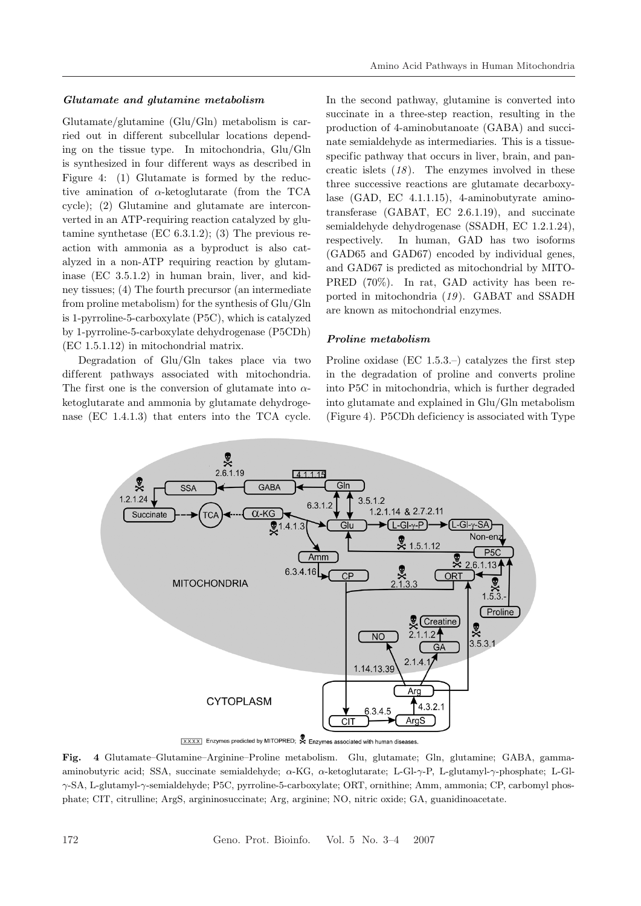#### *Glutamate and glutamine metabolism*

Glutamate/glutamine (Glu/Gln) metabolism is carried out in different subcellular locations depending on the tissue type. In mitochondria, Glu/Gln is synthesized in four dif ferent ways as described in Figure 4: (1) Glutamate is formed by the reductive amination of  $\alpha$ -ketoglutarate (from the TCA cycle); (2) Glutamine and glutamate are interconverted in an ATP-requiring reaction catalyzed by glutamine synthetase (EC 6.3.1.2); (3) The previous reaction with ammonia as a byproduct is also catalyzed in a non-ATP requiring reaction by glutaminase (EC 3.5.1.2) in human brain, liver, and kidney tissues; (4) The fourth precursor (an intermediate from proline metabolism) for the synthesis of Glu/Gln is 1-pyrroline-5-carboxylate (P5C), which is catalyzed by 1-pyrroline-5-carboxylate dehydrogenase (P5CDh) (EC 1.5.1.12) in mitochondrial matrix.

Degradation of Glu/Gln takes place via two different pathways associated with mitochondria. The first one is the conversion of glutamate into  $\alpha$ ketoglutarate and ammonia by glutamate dehydrogenase (EC 1.4.1.3) that enters into the TCA cycle.

In the second pathway, glutamine is converted into succinate in a three-step reaction, resulting in the production of 4-aminobutanoate (GABA) and succinate semialdehyde as intermediaries. This is a tissuespecific pathway that occurs in liver, brain, and pancreatic islets (*18* ). The enzymes involved in these three successive reactions are glutamate decarboxylase (GAD, EC 4.1.1.15), 4-aminobutyrate aminotransferase (GABAT, EC 2.6.1.19), and succinate semialdehyde dehydrogenase (SSADH, EC 1.2.1.24), respectively. In human, GAD has two isoforms (GAD65 and GAD67) encoded by individual genes, and GAD67 is predicted as mitochondrial by MITO-PRED (70%). In rat, GAD activity has been reported in mitochondria (*19* ). GABAT and SSADH are known as mitochondrial enzymes.

#### *Proline metabolism*

Proline oxidase (EC 1.5.3.–) catalyzes the first step in the degradation of proline and converts proline into P5C in mitochondria, which is further degraded into glutamate and explained in Glu/Gln metabolism (Figure 4). P5CDh deficiency is associated with Type



XXXX Enzymes predicted by MITOPRED; A Enzymes associated with human diseases.

**Fig. 4** Glutamate–Glutamine–Arginine–Proline metabolism. Glu, glutamate; Gln, glutamine; GABA, gammaaminobutyric acid; SSA, succinate semialdehyde; α-KG, α-ketoglutarate; L-Gl-γ-P, L-glutamyl-γ-phosphate; L-Glγ-SA, L-glutamyl-γ-semialdehyde; P5C, pyrroline-5-carboxylate; ORT, ornithine; Amm, ammonia; CP, carbomyl phosphate; CIT, citrulline; ArgS, argininosuccinate; Arg, arginine; NO, nitric oxide; GA, guanidinoacetate.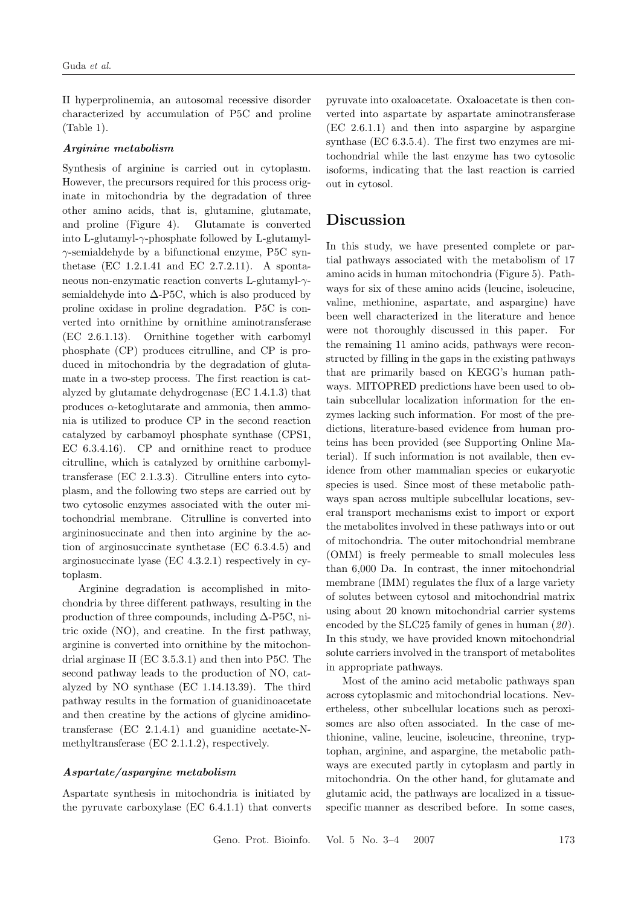II hyperprolinemia, an autosomal recessive disorder characterized by accumulation of P5C and proline (Table 1).

#### *Arginine metabolism*

Synthesis of arginine is carried out in cytoplasm. However, the precursors required for this process originate in mitochondria by the degradation of three other amino acids, that is, glutamine, glutamate, and proline (Figure 4). Glutamate is converted into L-glutamyl- $\gamma$ -phosphate followed by L-glutamylγ-semialdehyde by a bifunctional enzyme, P5C synthetase (EC 1.2.1.41 and EC 2.7.2.11). A spontaneous non-enzymatic reaction converts L-glutamyl-γsemialdehyde into  $\Delta$ -P5C, which is also produced by proline oxidase in proline degradation. P5C is converted into ornithine by ornithine aminotransferase (EC 2.6.1.13). Ornithine together with carbomyl phosphate (CP) produces citrulline, and CP is produced in mitochondria by the degradation of glutamate in a two-step process. The first reaction is catalyzed by glutamate dehydrogenase (EC 1.4.1.3) that produces  $\alpha$ -ketoglutarate and ammonia, then ammonia is utilized to produce CP in the second reaction catalyzed by carbamoyl phosphate synthase (CPS1, EC 6.3.4.16). CP and ornithine react to produce citrulline, which is catalyzed by ornithine carbomyltransferase (EC 2.1.3.3). Citrulline enters into cytoplasm, and the following two steps are carried out by two cytosolic enzymes associated with the outer mitochondrial membrane. Citrulline is converted into argininosuccinate and then into arginine by the action of arginosuccinate synthetase (EC 6.3.4.5) and arginosuccinate lyase (EC 4.3.2.1) respectively in cytoplasm.

Arginine degradation is accomplished in mitochondria by three dif ferent pathways, resulting in the production of three compounds, including ∆-P5C, nitric oxide (NO), and creatine. In the first pathway, arginine is converted into ornithine by the mitochondrial arginase II (EC 3.5.3.1) and then into P5C. The second pathway leads to the production of NO, catalyzed by NO synthase (EC 1.14.13.39). The third pathway results in the formation of guanidinoacetate and then creatine by the actions of glycine amidinotransferase (EC 2.1.4.1) and guanidine acetate-Nmethyltransferase (EC 2.1.1.2), respectively.

#### *Aspartate/aspargine metabolism*

Aspartate synthesis in mitochondria is initiated by the pyruvate carboxylase (EC 6.4.1.1) that converts pyruvate into oxaloacetate. Oxaloacetate is then converted into aspartate by aspartate aminotransferase (EC 2.6.1.1) and then into aspargine by aspargine synthase (EC 6.3.5.4). The first two enzymes are mitochondrial while the last enzyme has two cytosolic isoforms, indicating that the last reaction is carried out in cytosol.

## **Discussion**

In this study, we have presented complete or partial pathways associated with the metabolism of 17 amino acids in human mitochondria (Figure 5). Pathways for six of these amino acids (leucine, isoleucine, valine, methionine, aspartate, and aspargine) have been well characterized in the literature and hence were not thoroughly discussed in this paper. For the remaining 11 amino acids, pathways were reconstructed by filling in the gaps in the existing pathways that are primarily based on KEGG's human pathways. MITOPRED predictions have been used to obtain subcellular localization information for the enzymes lacking such information. For most of the predictions, literature-based evidence from human proteins has been provided (see Supporting Online Material). If such information is not available, then evidence from other mammalian species or eukaryotic species is used. Since most of these metabolic pathways span across multiple subcellular locations, several transport mechanisms exist to import or export the metabolites involved in these pathways into or out of mitochondria. The outer mitochondrial membrane (OMM) is freely permeable to small molecules less than 6,000 Da. In contrast, the inner mitochondrial membrane (IMM) regulates the flux of a large variety of solutes between cytosol and mitochondrial matrix using about 20 known mitochondrial carrier systems encoded by the SLC25 family of genes in human (*20* ). In this study, we have provided known mitochondrial solute carriers involved in the transport of metabolites in appropriate pathways.

Most of the amino acid metabolic pathways span across cytoplasmic and mitochondrial locations. Nevertheless, other subcellular locations such as peroxisomes are also often associated. In the case of methionine, valine, leucine, isoleucine, threonine, tryptophan, arginine, and aspargine, the metabolic pathways are executed partly in cytoplasm and partly in mitochondria. On the other hand, for glutamate and glutamic acid, the pathways are localized in a tissuespecific manner as described before. In some cases,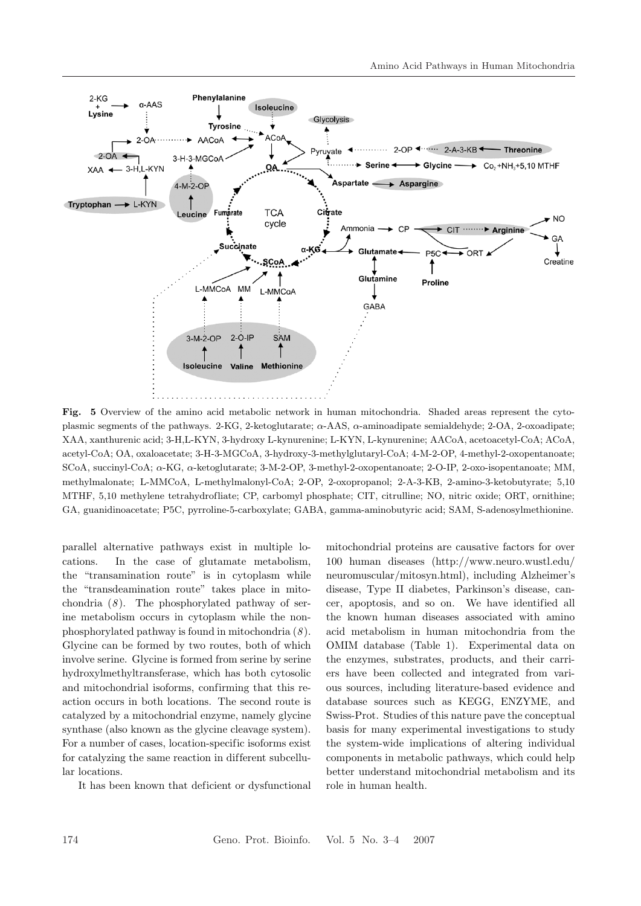

**Fig. 5** Overview of the amino acid metabolic network in human mitochondria. Shaded areas represent the cytoplasmic segments of the pathways. 2-KG, 2-ketoglutarate; α-AAS, α-aminoadipate semialdehyde; 2-OA, 2-oxoadipate; XAA, xanthurenic acid; 3-H,L-KYN, 3-hydroxy L-kynurenine; L-KYN, L-kynurenine; AACoA, acetoacetyl-CoA; ACoA, acetyl-CoA; OA, oxaloacetate; 3-H-3-MGCoA, 3-hydroxy-3-methylglutaryl-CoA; 4-M-2-OP, 4-methyl-2-oxopentanoate; SCoA, succinyl-CoA; α-KG, α-ketoglutarate; 3-M-2-OP, 3-methyl-2-oxopentanoate; 2-O-IP, 2-oxo-isopentanoate; MM, methylmalonate; L-MMCoA, L-methylmalonyl-CoA; 2-OP, 2-oxopropanol; 2-A-3-KB, 2-amino-3-ketobutyrate; 5,10 MTHF, 5,10 methylene tetrahydrofliate; CP, carbomyl phosphate; CIT, citrulline; NO, nitric oxide; ORT, ornithine; GA, guanidinoacetate; P5C, pyrroline-5-carboxylate; GABA, gamma-aminobutyric acid; SAM, S-adenosylmethionine.

parallel alternative pathways exist in multiple locations. In the case of glutamate metabolism, the "transamination route" is in cytoplasm while the "transdeamination route" takes place in mitochondria (*8* ). The phosphorylated pathway of serine metabolism occurs in cytoplasm while the nonphosphorylated pathway is found in mitochondria (*8* ). Glycine can be formed by two routes, both of which involve serine. Glycine is formed from serine by serine hydroxylmethyltransferase, which has both cytosolic and mitochondrial isoforms, confirming that this reaction occurs in both locations. The second route is catalyzed by a mitochondrial enzyme, namely glycine synthase (also known as the glycine cleavage system). For a number of cases, location-specific isoforms exist for catalyzing the same reaction in different subcellular locations.

It has been known that deficient or dysfunctional

mitochondrial proteins are causative factors for over 100 human diseases (http://www.neuro.wustl.edu/ neuromuscular/mitosyn.html), including Alzheimer's disease, Type II diabetes, Parkinson's disease, cancer, apoptosis, and so on. We have identified all the known human diseases associated with amino acid metabolism in human mitochondria from the OMIM database (Table 1). Experimental data on the enzymes, substrates, products, and their carriers have been collected and integrated from various sources, including literature-based evidence and database sources such as KEGG, ENZYME, and Swiss-Prot. Studies of this nature pave the conceptual basis for many experimental investigations to study the system-wide implications of altering individual components in metabolic pathways, which could help better understand mitochondrial metabolism and its role in human health.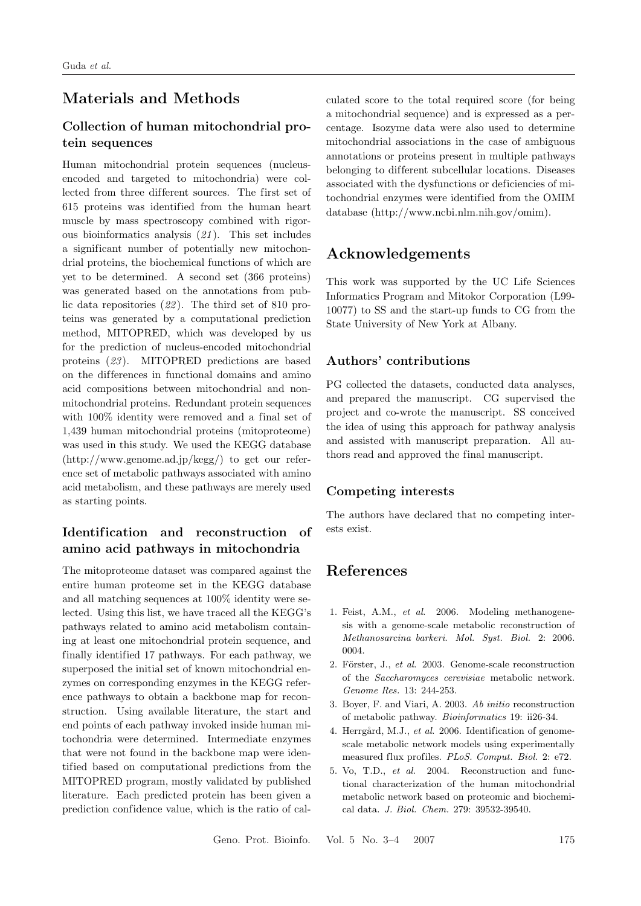# **Materials and Methods**

### **Collection of human mitochondrial protein sequences**

Human mitochondrial protein sequences (nucleusencoded and targeted to mitochondria) were collected from three different sources. The first set of 615 proteins was identified from the human heart muscle by mass spectroscopy combined with rigorous bioinformatics analysis (*21* ). This set includes a significant number of potentially new mitochondrial proteins, the biochemical functions of which are yet to be determined. A second set (366 proteins) was generated based on the annotations from public data repositories (*22* ). The third set of 810 proteins was generated by a computational prediction method, MITOPRED, which was developed by us for the prediction of nucleus-encoded mitochondrial proteins (*23* ). MITOPRED predictions are based on the dif ferences in functional domains and amino acid compositions between mitochondrial and nonmitochondrial proteins. Redundant protein sequences with 100% identity were removed and a final set of 1,439 human mitochondrial proteins (mitoproteome) was used in this study. We used the KEGG database (http://www.genome.ad.jp/kegg/) to get our reference set of metabolic pathways associated with amino acid metabolism, and these pathways are merely used as starting points.

# **Identif ication and reconstruction of amino acid pathways in mitochondria**

The mitoproteome dataset was compared against the entire human proteome set in the KEGG database and all matching sequences at 100% identity were selected. Using this list, we have traced all the KEGG's pathways related to amino acid metabolism containing at least one mitochondrial protein sequence, and finally identified 17 pathways. For each pathway, we superposed the initial set of known mitochondrial enzymes on corresponding enzymes in the KEGG reference pathways to obtain a backbone map for reconstruction. Using available literature, the start and end points of each pathway invoked inside human mitochondria were determined. Intermediate enzymes that were not found in the backbone map were identified based on computational predictions from the MITOPRED program, mostly validated by published literature. Each predicted protein has been given a prediction confidence value, which is the ratio of calculated score to the total required score (for being a mitochondrial sequence) and is expressed as a percentage. Isozyme data were also used to determine mitochondrial associations in the case of ambiguous annotations or proteins present in multiple pathways belonging to different subcellular locations. Diseases associated with the dysfunctions or deficiencies of mitochondrial enzymes were identified from the OMIM database (http://www.ncbi.nlm.nih.gov/omim).

# **Acknowledgements**

This work was supported by the UC Life Sciences Informatics Program and Mitokor Corporation (L99- 10077) to SS and the start-up funds to CG from the State University of New York at Albany.

### **Authors' contributions**

PG collected the datasets, conducted data analyses, and prepared the manuscript. CG supervised the project and co-wrote the manuscript. SS conceived the idea of using this approach for pathway analysis and assisted with manuscript preparation. All authors read and approved the final manuscript.

### **Competing interests**

The authors have declared that no competing interests exist.

# **References**

- 1. Feist, A.M., *et al*. 2006. Modeling methanogenesis with a genome-scale metabolic reconstruction of *Methanosarcina barkeri*. *Mol. Syst. Biol.* 2: 2006. 0004.
- 2. Förster, J., *et al.* 2003. Genome-scale reconstruction of the *Saccharomyces cerevisiae* metabolic network. *Genome Res.* 13: 244-253.
- 3. Boyer, F. and Viari, A. 2003. *Ab initio* reconstruction of metabolic pathway. *Bioinformatics* 19: ii26-34.
- 4. Herrgård, M.J., *et al.* 2006. Identification of genomescale metabolic network models using experimentally measured flux profiles. *PLoS. Comput. Biol.* 2: e72.
- 5. Vo, T.D., *et al*. 2004. Reconstruction and functional characterization of the human mitochondrial metabolic network based on proteomic and biochemical data. *J. Biol. Chem.* 279: 39532-39540.

Geno. Prot. Bioinfo. Vol. 5 No. 3–4 2007 175